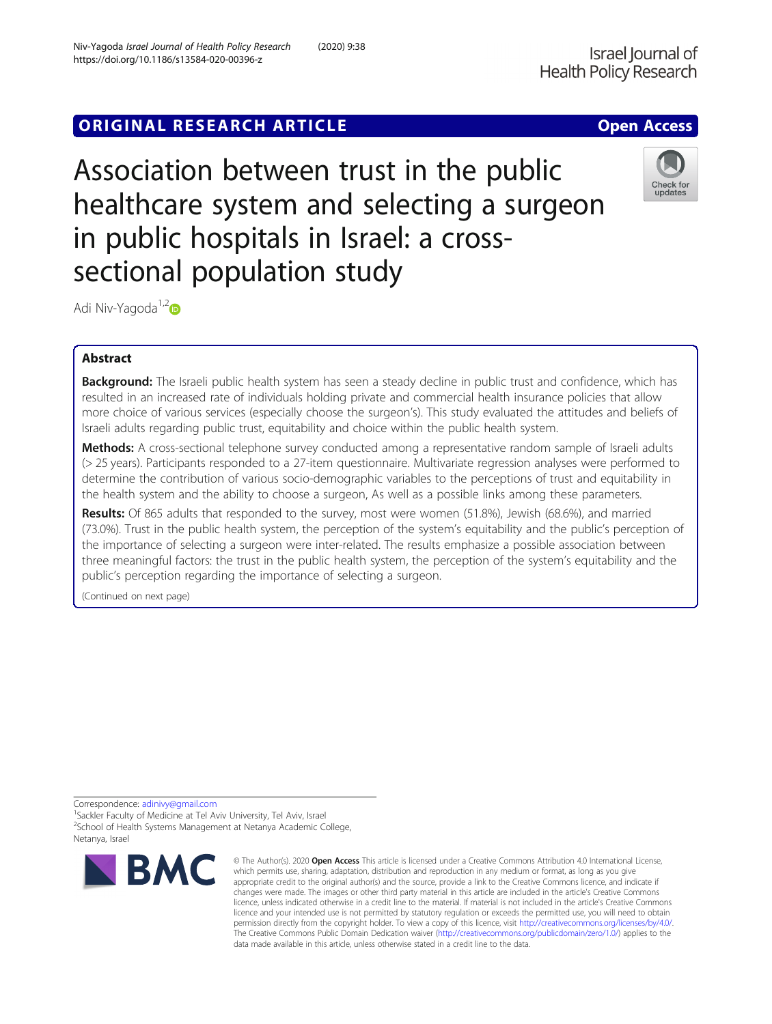# **ORIGINAL RESEARCH ARTICLE CONSUMING ACCESS**

Association between trust in the public healthcare system and selecting a surgeon in public hospitals in Israel: a crosssectional population study



Adi Niv-Yagoda<sup>1,2</sup>D

# Abstract

Background: The Israeli public health system has seen a steady decline in public trust and confidence, which has resulted in an increased rate of individuals holding private and commercial health insurance policies that allow more choice of various services (especially choose the surgeon's). This study evaluated the attitudes and beliefs of Israeli adults regarding public trust, equitability and choice within the public health system.

Methods: A cross-sectional telephone survey conducted among a representative random sample of Israeli adults (> 25 years). Participants responded to a 27-item questionnaire. Multivariate regression analyses were performed to determine the contribution of various socio-demographic variables to the perceptions of trust and equitability in the health system and the ability to choose a surgeon, As well as a possible links among these parameters.

Results: Of 865 adults that responded to the survey, most were women (51.8%), Jewish (68.6%), and married (73.0%). Trust in the public health system, the perception of the system's equitability and the public's perception of the importance of selecting a surgeon were inter-related. The results emphasize a possible association between three meaningful factors: the trust in the public health system, the perception of the system's equitability and the public's perception regarding the importance of selecting a surgeon.

(Continued on next page)

Correspondence: [adinivy@gmail.com](mailto:adinivy@gmail.com) <sup>1</sup>

<sup>1</sup>Sackler Faculty of Medicine at Tel Aviv University, Tel Aviv, Israel <sup>2</sup>School of Health Systems Management at Netanya Academic College, Netanya, Israel



<sup>©</sup> The Author(s), 2020 **Open Access** This article is licensed under a Creative Commons Attribution 4.0 International License, which permits use, sharing, adaptation, distribution and reproduction in any medium or format, as long as you give appropriate credit to the original author(s) and the source, provide a link to the Creative Commons licence, and indicate if changes were made. The images or other third party material in this article are included in the article's Creative Commons licence, unless indicated otherwise in a credit line to the material. If material is not included in the article's Creative Commons licence and your intended use is not permitted by statutory regulation or exceeds the permitted use, you will need to obtain permission directly from the copyright holder. To view a copy of this licence, visit [http://creativecommons.org/licenses/by/4.0/.](http://creativecommons.org/licenses/by/4.0/) The Creative Commons Public Domain Dedication waiver [\(http://creativecommons.org/publicdomain/zero/1.0/](http://creativecommons.org/publicdomain/zero/1.0/)) applies to the data made available in this article, unless otherwise stated in a credit line to the data.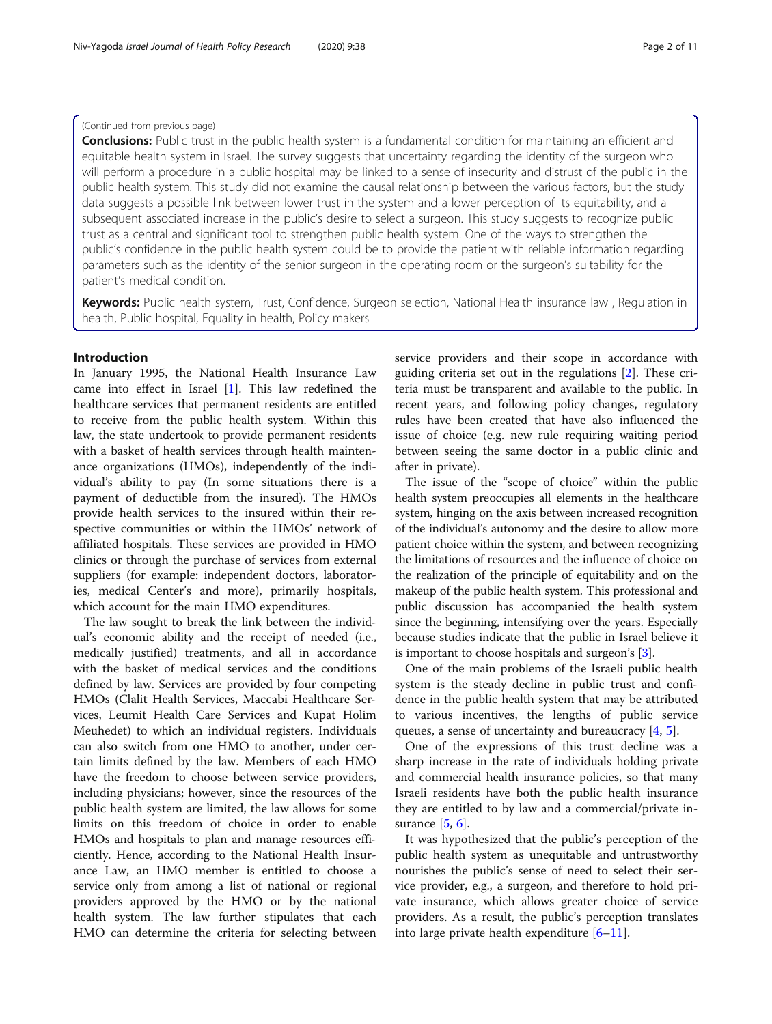# (Continued from previous page)

**Conclusions:** Public trust in the public health system is a fundamental condition for maintaining an efficient and equitable health system in Israel. The survey suggests that uncertainty regarding the identity of the surgeon who will perform a procedure in a public hospital may be linked to a sense of insecurity and distrust of the public in the public health system. This study did not examine the causal relationship between the various factors, but the study data suggests a possible link between lower trust in the system and a lower perception of its equitability, and a subsequent associated increase in the public's desire to select a surgeon. This study suggests to recognize public trust as a central and significant tool to strengthen public health system. One of the ways to strengthen the public's confidence in the public health system could be to provide the patient with reliable information regarding parameters such as the identity of the senior surgeon in the operating room or the surgeon's suitability for the patient's medical condition.

Keywords: Public health system, Trust, Confidence, Surgeon selection, National Health insurance law, Regulation in health, Public hospital, Equality in health, Policy makers

# Introduction

In January 1995, the National Health Insurance Law came into effect in Israel [\[1](#page-10-0)]. This law redefined the healthcare services that permanent residents are entitled to receive from the public health system. Within this law, the state undertook to provide permanent residents with a basket of health services through health maintenance organizations (HMOs), independently of the individual's ability to pay (In some situations there is a payment of deductible from the insured). The HMOs provide health services to the insured within their respective communities or within the HMOs' network of affiliated hospitals. These services are provided in HMO clinics or through the purchase of services from external suppliers (for example: independent doctors, laboratories, medical Center's and more), primarily hospitals, which account for the main HMO expenditures.

The law sought to break the link between the individual's economic ability and the receipt of needed (i.e., medically justified) treatments, and all in accordance with the basket of medical services and the conditions defined by law. Services are provided by four competing HMOs (Clalit Health Services, Maccabi Healthcare Services, Leumit Health Care Services and Kupat Holim Meuhedet) to which an individual registers. Individuals can also switch from one HMO to another, under certain limits defined by the law. Members of each HMO have the freedom to choose between service providers, including physicians; however, since the resources of the public health system are limited, the law allows for some limits on this freedom of choice in order to enable HMOs and hospitals to plan and manage resources efficiently. Hence, according to the National Health Insurance Law, an HMO member is entitled to choose a service only from among a list of national or regional providers approved by the HMO or by the national health system. The law further stipulates that each HMO can determine the criteria for selecting between service providers and their scope in accordance with guiding criteria set out in the regulations [[2\]](#page-10-0). These criteria must be transparent and available to the public. In recent years, and following policy changes, regulatory rules have been created that have also influenced the issue of choice (e.g. new rule requiring waiting period between seeing the same doctor in a public clinic and after in private).

The issue of the "scope of choice" within the public health system preoccupies all elements in the healthcare system, hinging on the axis between increased recognition of the individual's autonomy and the desire to allow more patient choice within the system, and between recognizing the limitations of resources and the influence of choice on the realization of the principle of equitability and on the makeup of the public health system. This professional and public discussion has accompanied the health system since the beginning, intensifying over the years. Especially because studies indicate that the public in Israel believe it is important to choose hospitals and surgeon's [\[3](#page-10-0)].

One of the main problems of the Israeli public health system is the steady decline in public trust and confidence in the public health system that may be attributed to various incentives, the lengths of public service queues, a sense of uncertainty and bureaucracy [\[4,](#page-10-0) [5\]](#page-10-0).

One of the expressions of this trust decline was a sharp increase in the rate of individuals holding private and commercial health insurance policies, so that many Israeli residents have both the public health insurance they are entitled to by law and a commercial/private insurance [\[5](#page-10-0), [6](#page-10-0)].

It was hypothesized that the public's perception of the public health system as unequitable and untrustworthy nourishes the public's sense of need to select their service provider, e.g., a surgeon, and therefore to hold private insurance, which allows greater choice of service providers. As a result, the public's perception translates into large private health expenditure [\[6](#page-10-0)–[11\]](#page-10-0).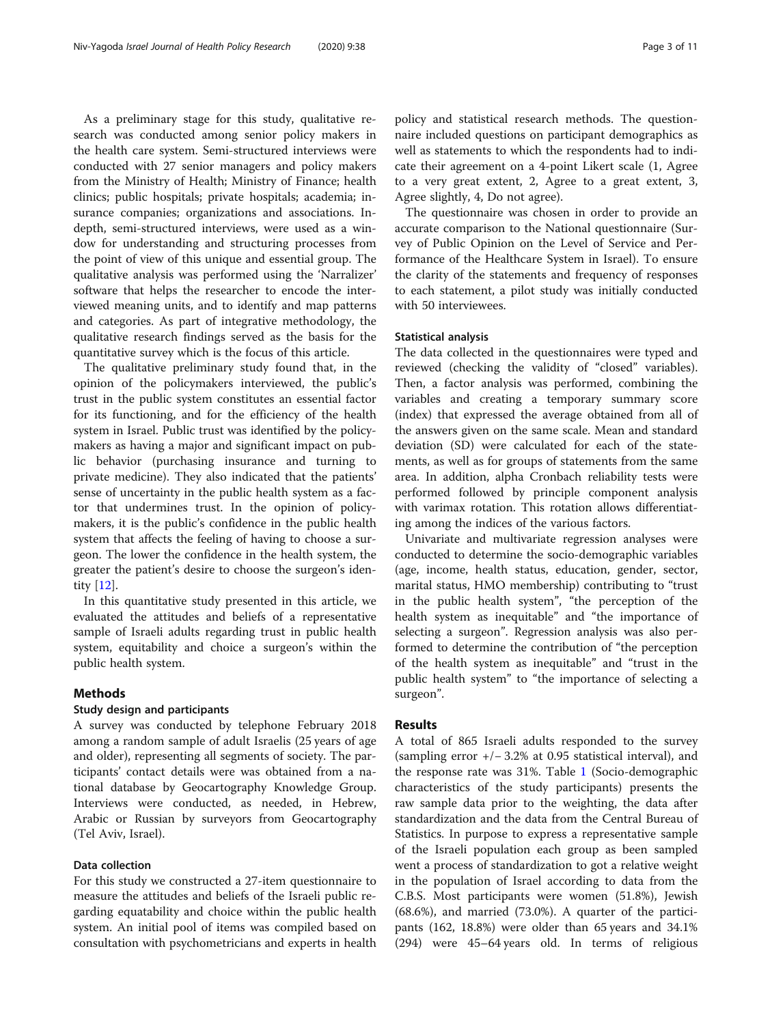As a preliminary stage for this study, qualitative research was conducted among senior policy makers in the health care system. Semi-structured interviews were conducted with 27 senior managers and policy makers from the Ministry of Health; Ministry of Finance; health clinics; public hospitals; private hospitals; academia; insurance companies; organizations and associations. Indepth, semi-structured interviews, were used as a window for understanding and structuring processes from the point of view of this unique and essential group. The qualitative analysis was performed using the 'Narralizer' software that helps the researcher to encode the interviewed meaning units, and to identify and map patterns and categories. As part of integrative methodology, the qualitative research findings served as the basis for the quantitative survey which is the focus of this article.

The qualitative preliminary study found that, in the opinion of the policymakers interviewed, the public's trust in the public system constitutes an essential factor for its functioning, and for the efficiency of the health system in Israel. Public trust was identified by the policymakers as having a major and significant impact on public behavior (purchasing insurance and turning to private medicine). They also indicated that the patients' sense of uncertainty in the public health system as a factor that undermines trust. In the opinion of policymakers, it is the public's confidence in the public health system that affects the feeling of having to choose a surgeon. The lower the confidence in the health system, the greater the patient's desire to choose the surgeon's identity [\[12\]](#page-10-0).

In this quantitative study presented in this article, we evaluated the attitudes and beliefs of a representative sample of Israeli adults regarding trust in public health system, equitability and choice a surgeon's within the public health system.

# Methods

### Study design and participants

A survey was conducted by telephone February 2018 among a random sample of adult Israelis (25 years of age and older), representing all segments of society. The participants' contact details were was obtained from a national database by Geocartography Knowledge Group. Interviews were conducted, as needed, in Hebrew, Arabic or Russian by surveyors from Geocartography (Tel Aviv, Israel).

#### Data collection

For this study we constructed a 27-item questionnaire to measure the attitudes and beliefs of the Israeli public regarding equatability and choice within the public health system. An initial pool of items was compiled based on consultation with psychometricians and experts in health

policy and statistical research methods. The questionnaire included questions on participant demographics as well as statements to which the respondents had to indicate their agreement on a 4-point Likert scale (1, Agree to a very great extent, 2, Agree to a great extent, 3, Agree slightly, 4, Do not agree).

The questionnaire was chosen in order to provide an accurate comparison to the National questionnaire (Survey of Public Opinion on the Level of Service and Performance of the Healthcare System in Israel). To ensure the clarity of the statements and frequency of responses to each statement, a pilot study was initially conducted with 50 interviewees.

### Statistical analysis

The data collected in the questionnaires were typed and reviewed (checking the validity of "closed" variables). Then, a factor analysis was performed, combining the variables and creating a temporary summary score (index) that expressed the average obtained from all of the answers given on the same scale. Mean and standard deviation (SD) were calculated for each of the statements, as well as for groups of statements from the same area. In addition, alpha Cronbach reliability tests were performed followed by principle component analysis with varimax rotation. This rotation allows differentiating among the indices of the various factors.

Univariate and multivariate regression analyses were conducted to determine the socio-demographic variables (age, income, health status, education, gender, sector, marital status, HMO membership) contributing to "trust in the public health system", "the perception of the health system as inequitable" and "the importance of selecting a surgeon". Regression analysis was also performed to determine the contribution of "the perception of the health system as inequitable" and "trust in the public health system" to "the importance of selecting a surgeon".

# Results

A total of 865 Israeli adults responded to the survey (sampling error +/− 3.2% at 0.95 statistical interval), and the response rate was 31%. Table [1](#page-3-0) (Socio-demographic characteristics of the study participants) presents the raw sample data prior to the weighting, the data after standardization and the data from the Central Bureau of Statistics. In purpose to express a representative sample of the Israeli population each group as been sampled went a process of standardization to got a relative weight in the population of Israel according to data from the C.B.S. Most participants were women (51.8%), Jewish (68.6%), and married (73.0%). A quarter of the participants (162, 18.8%) were older than 65 years and 34.1% (294) were 45–64 years old. In terms of religious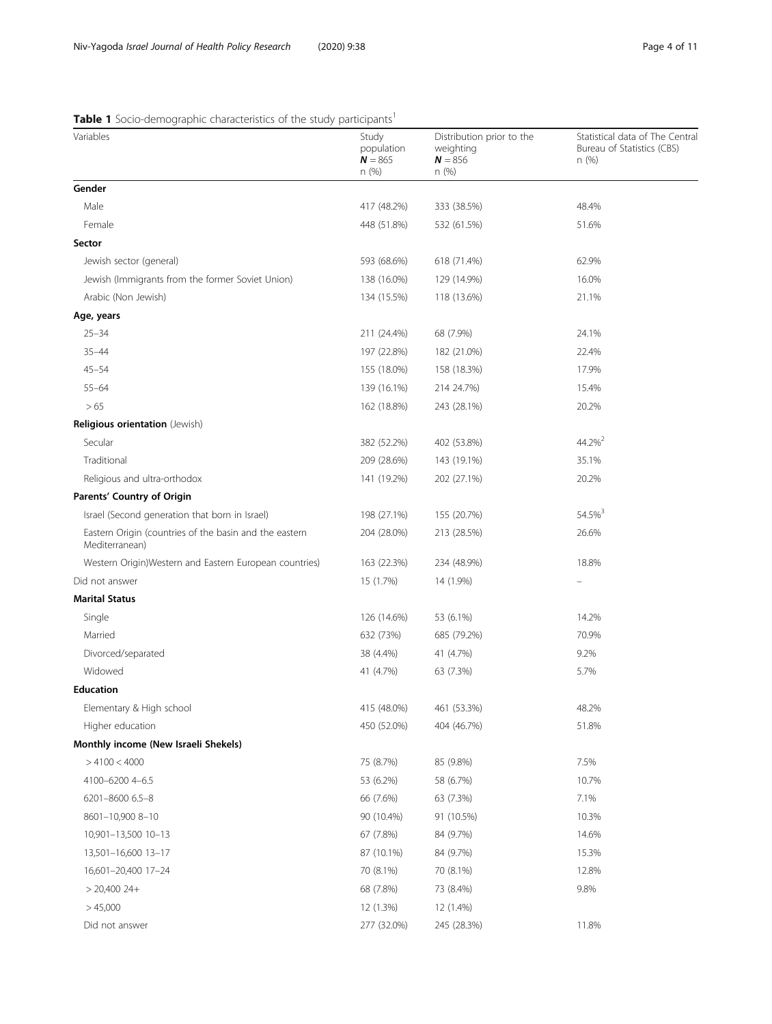# <span id="page-3-0"></span>Table 1 Socio-demographic characteristics of the study participants<sup>1</sup>

| Variables                                                                | Study<br>population<br>$N = 865$<br>n(%) | Distribution prior to the<br>weighting<br>$N = 856$<br>n(%) | Statistical data of The Centra<br>Bureau of Statistics (CBS)<br>n(%) |
|--------------------------------------------------------------------------|------------------------------------------|-------------------------------------------------------------|----------------------------------------------------------------------|
| Gender                                                                   |                                          |                                                             |                                                                      |
| Male                                                                     | 417 (48.2%)                              | 333 (38.5%)                                                 | 48.4%                                                                |
| Female                                                                   | 448 (51.8%)                              | 532 (61.5%)                                                 | 51.6%                                                                |
| Sector                                                                   |                                          |                                                             |                                                                      |
| Jewish sector (general)                                                  | 593 (68.6%)                              | 618 (71.4%)                                                 | 62.9%                                                                |
| Jewish (Immigrants from the former Soviet Union)                         | 138 (16.0%)                              | 129 (14.9%)                                                 | 16.0%                                                                |
| Arabic (Non Jewish)                                                      | 134 (15.5%)                              | 118 (13.6%)                                                 | 21.1%                                                                |
| Age, years                                                               |                                          |                                                             |                                                                      |
| $25 - 34$                                                                | 211 (24.4%)                              | 68 (7.9%)                                                   | 24.1%                                                                |
| $35 - 44$                                                                | 197 (22.8%)                              | 182 (21.0%)                                                 | 22.4%                                                                |
| $45 - 54$                                                                | 155 (18.0%)                              | 158 (18.3%)                                                 | 17.9%                                                                |
| $55 - 64$                                                                | 139 (16.1%)                              | 214 24.7%)                                                  | 15.4%                                                                |
| > 65                                                                     | 162 (18.8%)                              | 243 (28.1%)                                                 | 20.2%                                                                |
| Religious orientation (Jewish)                                           |                                          |                                                             |                                                                      |
| Secular                                                                  | 382 (52.2%)                              | 402 (53.8%)                                                 | 44.2% <sup>2</sup>                                                   |
| Traditional                                                              | 209 (28.6%)                              | 143 (19.1%)                                                 | 35.1%                                                                |
| Religious and ultra-orthodox                                             | 141 (19.2%)                              | 202 (27.1%)                                                 | 20.2%                                                                |
| Parents' Country of Origin                                               |                                          |                                                             |                                                                      |
| Israel (Second generation that born in Israel)                           | 198 (27.1%)                              | 155 (20.7%)                                                 | 54.5% <sup>3</sup>                                                   |
| Eastern Origin (countries of the basin and the eastern<br>Mediterranean) | 204 (28.0%)                              | 213 (28.5%)                                                 | 26.6%                                                                |
| Western Origin) Western and Eastern European countries)                  | 163 (22.3%)                              | 234 (48.9%)                                                 | 18.8%                                                                |
| Did not answer                                                           | 15 (1.7%)                                | 14 (1.9%)                                                   |                                                                      |
| <b>Marital Status</b>                                                    |                                          |                                                             |                                                                      |
| Single                                                                   | 126 (14.6%)                              | 53 (6.1%)                                                   | 14.2%                                                                |
| Married                                                                  | 632 (73%)                                | 685 (79.2%)                                                 | 70.9%                                                                |
| Divorced/separated                                                       | 38 (4.4%)                                | 41 (4.7%)                                                   | 9.2%                                                                 |
| Widowed                                                                  | 41 (4.7%)                                | 63 (7.3%)                                                   | 5.7%                                                                 |
| <b>Education</b>                                                         |                                          |                                                             |                                                                      |
| Elementary & High school                                                 | 415 (48.0%)                              | 461 (53.3%)                                                 | 48.2%                                                                |
| Higher education                                                         | 450 (52.0%)                              | 404 (46.7%)                                                 | 51.8%                                                                |
| Monthly income (New Israeli Shekels)                                     |                                          |                                                             |                                                                      |
| >4100 < 4000                                                             | 75 (8.7%)                                | 85 (9.8%)                                                   | 7.5%                                                                 |
| 4100-6200 4-6.5                                                          | 53 (6.2%)                                | 58 (6.7%)                                                   | 10.7%                                                                |
| 6201-8600 6.5-8                                                          | 66 (7.6%)                                | 63 (7.3%)                                                   | 7.1%                                                                 |
| 8601-10,900 8-10                                                         | 90 (10.4%)                               | 91 (10.5%)                                                  | 10.3%                                                                |
| 10,901-13,500 10-13                                                      | 67 (7.8%)                                | 84 (9.7%)                                                   | 14.6%                                                                |
| 13,501-16,600 13-17                                                      | 87 (10.1%)                               | 84 (9.7%)                                                   | 15.3%                                                                |
| 16,601-20,400 17-24                                                      | 70 (8.1%)                                | 70 (8.1%)                                                   | 12.8%                                                                |
| $> 20,400$ 24+                                                           | 68 (7.8%)                                | 73 (8.4%)                                                   | 9.8%                                                                 |
| >45,000                                                                  | 12 (1.3%)                                | 12 (1.4%)                                                   |                                                                      |
| Did not answer                                                           | 277 (32.0%)                              | 245 (28.3%)                                                 | 11.8%                                                                |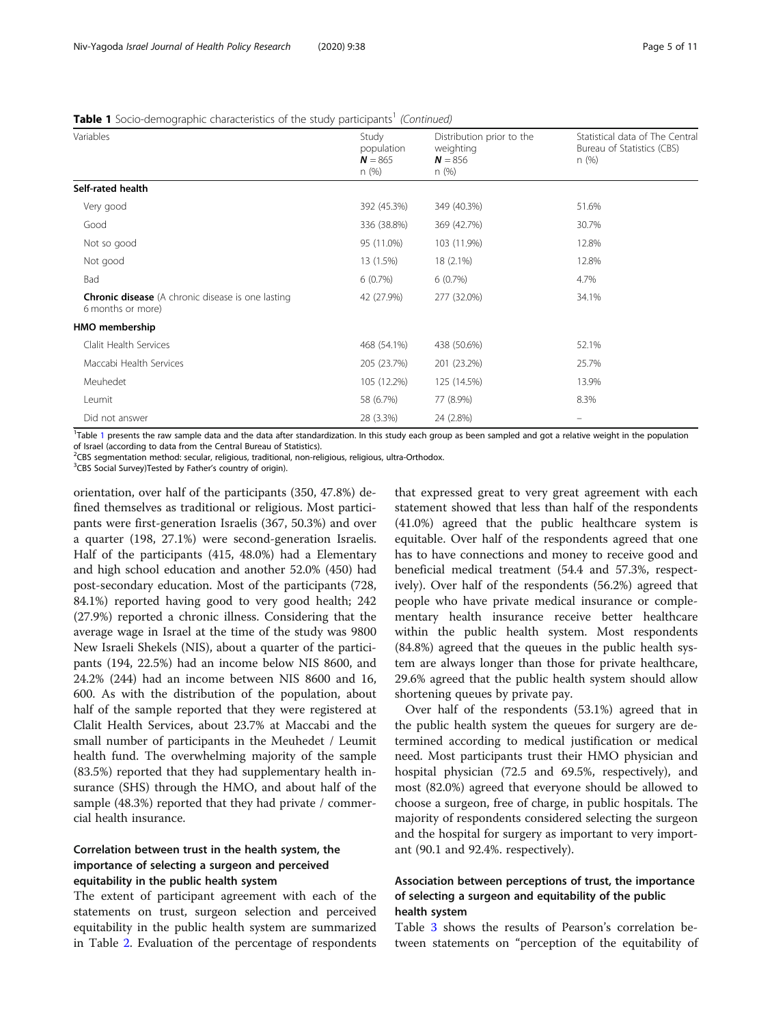|  |  | <b>Table 1</b> Socio-demographic characteristics of the study participants <sup>1</sup> (Continued) |  |
|--|--|-----------------------------------------------------------------------------------------------------|--|
|  |  |                                                                                                     |  |

| Variables                                                                     | Study<br>population<br>$N = 865$ | Distribution prior to the<br>weighting<br>$N = 856$ | Statistical data of The Central<br>Bureau of Statistics (CBS)<br>n(%) |
|-------------------------------------------------------------------------------|----------------------------------|-----------------------------------------------------|-----------------------------------------------------------------------|
|                                                                               | n(%)                             | n(%)                                                |                                                                       |
| Self-rated health                                                             |                                  |                                                     |                                                                       |
| Very good                                                                     | 392 (45.3%)                      | 349 (40.3%)                                         | 51.6%                                                                 |
| Good                                                                          | 336 (38.8%)                      | 369 (42.7%)                                         | 30.7%                                                                 |
| Not so good                                                                   | 95 (11.0%)                       | 103 (11.9%)                                         | 12.8%                                                                 |
| Not good                                                                      | 13 (1.5%)                        | 18 (2.1%)                                           | 12.8%                                                                 |
| Bad                                                                           | 6(0.7%)                          | 6(0.7%)                                             | 4.7%                                                                  |
| <b>Chronic disease</b> (A chronic disease is one lasting<br>6 months or more) | 42 (27.9%)                       | 277 (32.0%)                                         | 34.1%                                                                 |
| HMO membership                                                                |                                  |                                                     |                                                                       |
| Clalit Health Services                                                        | 468 (54.1%)                      | 438 (50.6%)                                         | 52.1%                                                                 |
| Maccabi Health Services                                                       | 205 (23.7%)                      | 201 (23.2%)                                         | 25.7%                                                                 |
| Meuhedet                                                                      | 105 (12.2%)                      | 125 (14.5%)                                         | 13.9%                                                                 |
| Leumit                                                                        | 58 (6.7%)                        | 77 (8.9%)                                           | 8.3%                                                                  |
| Did not answer                                                                | 28 (3.3%)                        | 24 (2.8%)                                           | $\equiv$                                                              |

<sup>[1](#page-3-0)</sup>Table 1 presents the raw sample data and the data after standardization. In this study each group as been sampled and got a relative weight in the population of Israel (according to data from the Central Bureau of Statistics).

<sup>2</sup>CBS segmentation method: secular, religious, traditional, non-religious, religious, ultra-Orthodox.

<sup>3</sup>CBS Social Survey)Tested by Father's country of origin).

orientation, over half of the participants (350, 47.8%) defined themselves as traditional or religious. Most participants were first-generation Israelis (367, 50.3%) and over a quarter (198, 27.1%) were second-generation Israelis. Half of the participants (415, 48.0%) had a Elementary and high school education and another 52.0% (450) had post-secondary education. Most of the participants (728, 84.1%) reported having good to very good health; 242 (27.9%) reported a chronic illness. Considering that the average wage in Israel at the time of the study was 9800 New Israeli Shekels (NIS), about a quarter of the participants (194, 22.5%) had an income below NIS 8600, and 24.2% (244) had an income between NIS 8600 and 16, 600. As with the distribution of the population, about half of the sample reported that they were registered at Clalit Health Services, about 23.7% at Maccabi and the small number of participants in the Meuhedet / Leumit health fund. The overwhelming majority of the sample (83.5%) reported that they had supplementary health insurance (SHS) through the HMO, and about half of the sample (48.3%) reported that they had private / commercial health insurance.

# Correlation between trust in the health system, the importance of selecting a surgeon and perceived equitability in the public health system

The extent of participant agreement with each of the statements on trust, surgeon selection and perceived equitability in the public health system are summarized in Table [2](#page-5-0). Evaluation of the percentage of respondents

that expressed great to very great agreement with each statement showed that less than half of the respondents (41.0%) agreed that the public healthcare system is equitable. Over half of the respondents agreed that one has to have connections and money to receive good and beneficial medical treatment (54.4 and 57.3%, respectively). Over half of the respondents (56.2%) agreed that people who have private medical insurance or complementary health insurance receive better healthcare within the public health system. Most respondents (84.8%) agreed that the queues in the public health system are always longer than those for private healthcare, 29.6% agreed that the public health system should allow shortening queues by private pay.

Over half of the respondents (53.1%) agreed that in the public health system the queues for surgery are determined according to medical justification or medical need. Most participants trust their HMO physician and hospital physician (72.5 and 69.5%, respectively), and most (82.0%) agreed that everyone should be allowed to choose a surgeon, free of charge, in public hospitals. The majority of respondents considered selecting the surgeon and the hospital for surgery as important to very important (90.1 and 92.4%. respectively).

# Association between perceptions of trust, the importance of selecting a surgeon and equitability of the public health system

Table [3](#page-5-0) shows the results of Pearson's correlation between statements on "perception of the equitability of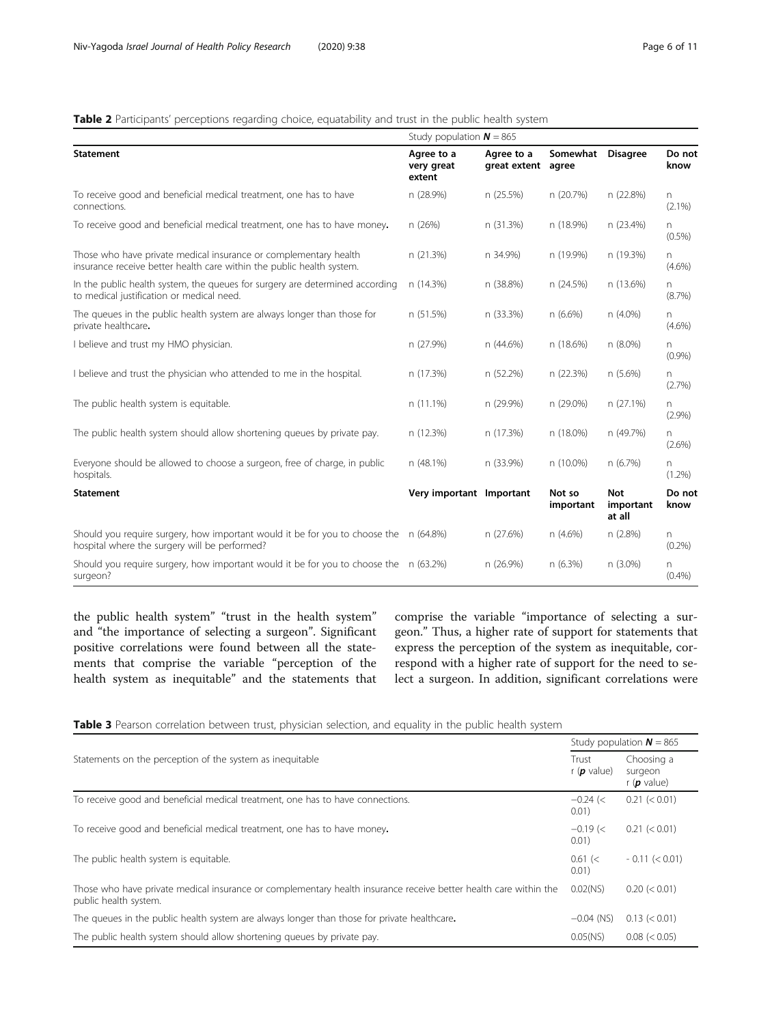# <span id="page-5-0"></span>Table 2 Participants' perceptions regarding choice, equatability and trust in the public health system

|                                                                                                                                            | Study population $N = 865$         |                                  |                     |                            |                 |  |
|--------------------------------------------------------------------------------------------------------------------------------------------|------------------------------------|----------------------------------|---------------------|----------------------------|-----------------|--|
| <b>Statement</b>                                                                                                                           | Agree to a<br>very great<br>extent | Agree to a<br>great extent agree | Somewhat            | <b>Disagree</b>            | Do not<br>know  |  |
| To receive good and beneficial medical treatment, one has to have<br>connections.                                                          | n (28.9%)                          | n (25.5%)                        | n (20.7%)           | n (22.8%)                  | n.<br>$(2.1\%)$ |  |
| To receive good and beneficial medical treatment, one has to have money.                                                                   | n (26%)                            | n (31.3%)                        | n (18.9%)           | n (23.4%)                  | n.<br>$(0.5\%)$ |  |
| Those who have private medical insurance or complementary health<br>insurance receive better health care within the public health system.  | n (21.3%)                          | n 34.9%)                         | n (19.9%)           | n (19.3%)                  | n.<br>$(4.6\%)$ |  |
| In the public health system, the queues for surgery are determined according<br>to medical justification or medical need.                  | n (14.3%)                          | n (38.8%)                        | n (24.5%)           | n (13.6%)                  | n.<br>(8.7%)    |  |
| The queues in the public health system are always longer than those for<br>private healthcare.                                             | n (51.5%)                          | n (33.3%)                        | n (6.6%)            | n (4.0%)                   | n<br>$(4.6\%)$  |  |
| I believe and trust my HMO physician.                                                                                                      | n (27.9%)                          | n (44.6%)                        | n (18.6%)           | n (8.0%)                   | n<br>(0.9%      |  |
| I believe and trust the physician who attended to me in the hospital.                                                                      | n (17.3%)                          | n (52.2%)                        | n (22.3%)           | n(5.6%)                    | n.<br>(2.7%)    |  |
| The public health system is equitable.                                                                                                     | n (11.1%)                          | n (29.9%)                        | n (29.0%)           | n (27.1%)                  | n.<br>(2.9%)    |  |
| The public health system should allow shortening queues by private pay.                                                                    | n (12.3%)                          | n (17.3%)                        | n (18.0%)           | n (49.7%)                  | n.<br>$(2.6\%)$ |  |
| Everyone should be allowed to choose a surgeon, free of charge, in public<br>hospitals.                                                    | n (48.1%)                          | n (33.9%)                        | n (10.0%)           | n(6.7%)                    | n<br>$(1.2\%)$  |  |
| <b>Statement</b>                                                                                                                           | Very important Important           |                                  | Not so<br>important | Not<br>important<br>at all | Do not<br>know  |  |
| Should you require surgery, how important would it be for you to choose the $\pi$ (64.8%)<br>hospital where the surgery will be performed? |                                    | n (27.6%)                        | n (4.6%)            | n (2.8%)                   | n.<br>$(0.2\%)$ |  |
| Should you require surgery, how important would it be for you to choose the $\pi$ (63.2%)<br>surgeon?                                      |                                    | n (26.9%)                        | n (6.3%)            | n (3.0%)                   | n<br>(0.4% )    |  |

the public health system" "trust in the health system" and "the importance of selecting a surgeon". Significant positive correlations were found between all the statements that comprise the variable "perception of the health system as inequitable" and the statements that

comprise the variable "importance of selecting a surgeon." Thus, a higher rate of support for statements that express the perception of the system as inequitable, correspond with a higher rate of support for the need to select a surgeon. In addition, significant correlations were

|  |  |  |  |  | Table 3 Pearson correlation between trust, physician selection, and equality in the public health system |  |
|--|--|--|--|--|----------------------------------------------------------------------------------------------------------|--|
|  |  |  |  |  |                                                                                                          |  |
|  |  |  |  |  |                                                                                                          |  |

|                                                                                                                                           |                                      | Study population $N = 865$              |
|-------------------------------------------------------------------------------------------------------------------------------------------|--------------------------------------|-----------------------------------------|
| Statements on the perception of the system as inequitable                                                                                 | Trust<br>r ( $\boldsymbol{p}$ value) | Choosing a<br>surgeon<br>r ( $p$ value) |
| To receive good and beneficial medical treatment, one has to have connections.                                                            | $-0.24$ (<<br>0.01)                  | 0.21 (< 0.01)                           |
| To receive good and beneficial medical treatment, one has to have money.                                                                  | $-0.19 <$<br>0.01)                   | 0.21 (< 0.01)                           |
| The public health system is equitable.                                                                                                    | $0.61$ (<<br>0.01)                   | $-0.11 (< 0.01)$                        |
| Those who have private medical insurance or complementary health insurance receive better health care within the<br>public health system. | $0.02$ (NS)                          | $0.20 \le 0.01$                         |
| The queues in the public health system are always longer than those for private healthcare.                                               | $-0.04$ (NS)                         | $0.13 \leq 0.01$                        |
| The public health system should allow shortening queues by private pay.                                                                   | $0.05$ (NS)                          | 0.08 (< 0.05)                           |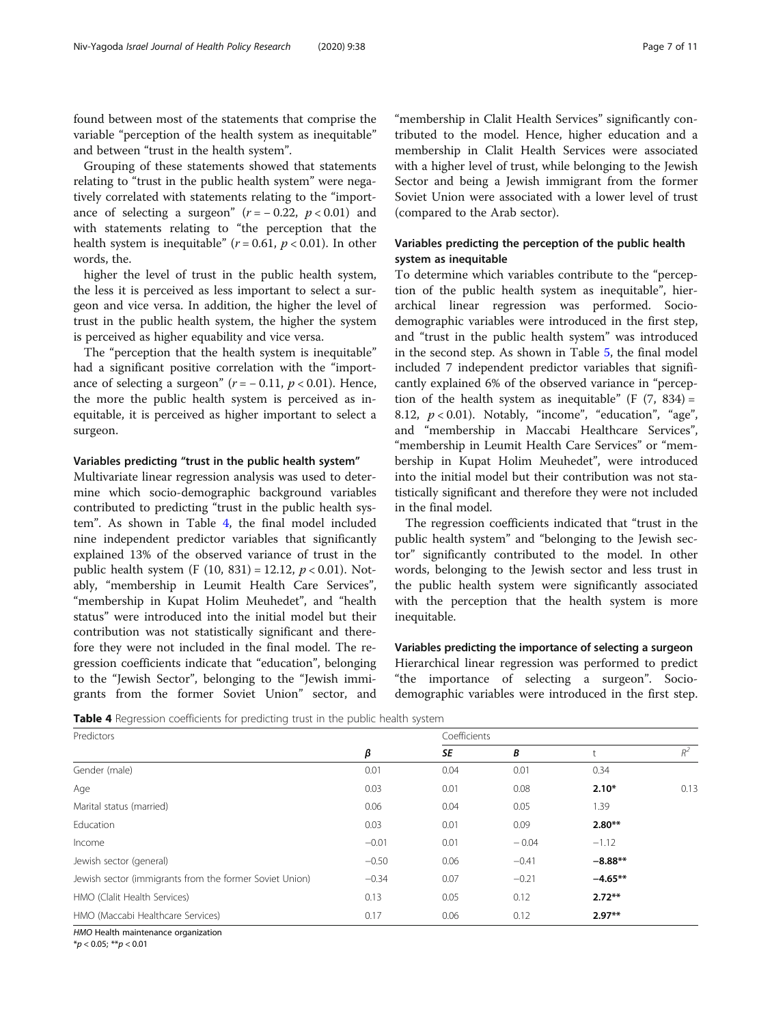found between most of the statements that comprise the variable "perception of the health system as inequitable" and between "trust in the health system".

Grouping of these statements showed that statements relating to "trust in the public health system" were negatively correlated with statements relating to the "importance of selecting a surgeon"  $(r = -0.22, p < 0.01)$  and with statements relating to "the perception that the health system is inequitable" ( $r = 0.61$ ,  $p < 0.01$ ). In other words, the.

higher the level of trust in the public health system, the less it is perceived as less important to select a surgeon and vice versa. In addition, the higher the level of trust in the public health system, the higher the system is perceived as higher equability and vice versa.

The "perception that the health system is inequitable" had a significant positive correlation with the "importance of selecting a surgeon"  $(r = -0.11, p < 0.01)$ . Hence, the more the public health system is perceived as inequitable, it is perceived as higher important to select a surgeon.

#### Variables predicting "trust in the public health system"

Multivariate linear regression analysis was used to determine which socio-demographic background variables contributed to predicting "trust in the public health system". As shown in Table 4, the final model included nine independent predictor variables that significantly explained 13% of the observed variance of trust in the public health system (F  $(10, 831) = 12.12$ ,  $p < 0.01$ ). Notably, "membership in Leumit Health Care Services", "membership in Kupat Holim Meuhedet", and "health status" were introduced into the initial model but their contribution was not statistically significant and therefore they were not included in the final model. The regression coefficients indicate that "education", belonging to the "Jewish Sector", belonging to the "Jewish immigrants from the former Soviet Union" sector, and

"membership in Clalit Health Services" significantly contributed to the model. Hence, higher education and a membership in Clalit Health Services were associated with a higher level of trust, while belonging to the Jewish Sector and being a Jewish immigrant from the former Soviet Union were associated with a lower level of trust (compared to the Arab sector).

# Variables predicting the perception of the public health system as inequitable

To determine which variables contribute to the "perception of the public health system as inequitable", hierarchical linear regression was performed. Sociodemographic variables were introduced in the first step, and "trust in the public health system" was introduced in the second step. As shown in Table [5,](#page-7-0) the final model included 7 independent predictor variables that significantly explained 6% of the observed variance in "perception of the health system as inequitable" (F  $(7, 834)$  = 8.12,  $p < 0.01$ ). Notably, "income", "education", "age", and "membership in Maccabi Healthcare Services", "membership in Leumit Health Care Services" or "membership in Kupat Holim Meuhedet", were introduced into the initial model but their contribution was not statistically significant and therefore they were not included in the final model.

The regression coefficients indicated that "trust in the public health system" and "belonging to the Jewish sector" significantly contributed to the model. In other words, belonging to the Jewish sector and less trust in the public health system were significantly associated with the perception that the health system is more inequitable.

Variables predicting the importance of selecting a surgeon Hierarchical linear regression was performed to predict "the importance of selecting a surgeon". Sociodemographic variables were introduced in the first step.

Table 4 Regression coefficients for predicting trust in the public health system

| Predictors                                              |         | Coefficients |         |           |       |
|---------------------------------------------------------|---------|--------------|---------|-----------|-------|
|                                                         | β       | SE           | В       |           | $R^2$ |
| Gender (male)                                           | 0.01    | 0.04         | 0.01    | 0.34      |       |
| Age                                                     | 0.03    | 0.01         | 0.08    | $2.10*$   | 0.13  |
| Marital status (married)                                | 0.06    | 0.04         | 0.05    | 1.39      |       |
| Education                                               | 0.03    | 0.01         | 0.09    | $2.80**$  |       |
| Income                                                  | $-0.01$ | 0.01         | $-0.04$ | $-1.12$   |       |
| Jewish sector (general)                                 | $-0.50$ | 0.06         | $-0.41$ | $-8.88**$ |       |
| Jewish sector (immigrants from the former Soviet Union) | $-0.34$ | 0.07         | $-0.21$ | $-4.65**$ |       |
| HMO (Clalit Health Services)                            | 0.13    | 0.05         | 0.12    | $2.72**$  |       |
| HMO (Maccabi Healthcare Services)                       | 0.17    | 0.06         | 0.12    | $2.97**$  |       |

HMO Health maintenance organization

\*p < 0.05; \*\*p < 0.01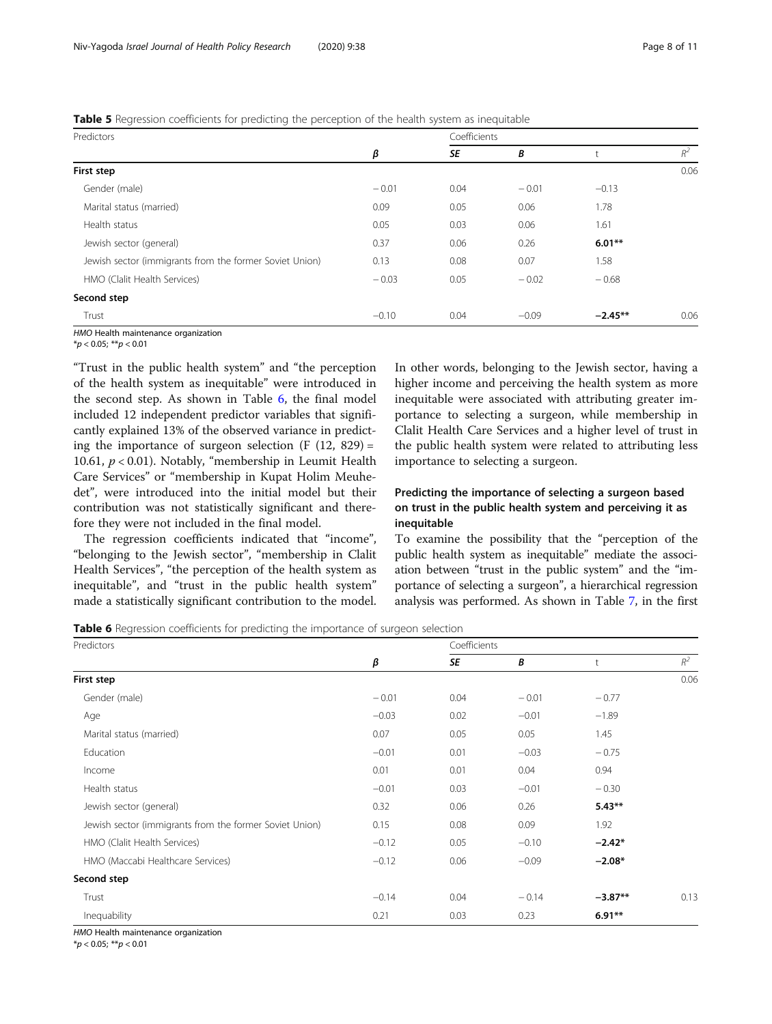### <span id="page-7-0"></span>**Table 5** Regression coefficients for predicting the perception of the health system as inequitable

| Predictors                                              |         | Coefficients |         |           |       |
|---------------------------------------------------------|---------|--------------|---------|-----------|-------|
|                                                         | β       | SE           | B       |           | $R^2$ |
| First step                                              |         |              |         |           | 0.06  |
| Gender (male)                                           | $-0.01$ | 0.04         | $-0.01$ | $-0.13$   |       |
| Marital status (married)                                | 0.09    | 0.05         | 0.06    | 1.78      |       |
| Health status                                           | 0.05    | 0.03         | 0.06    | 1.61      |       |
| Jewish sector (general)                                 | 0.37    | 0.06         | 0.26    | $6.01**$  |       |
| Jewish sector (immigrants from the former Soviet Union) | 0.13    | 0.08         | 0.07    | 1.58      |       |
| HMO (Clalit Health Services)                            | $-0.03$ | 0.05         | $-0.02$ | $-0.68$   |       |
| Second step                                             |         |              |         |           |       |
| Trust                                                   | $-0.10$ | 0.04         | $-0.09$ | $-2.45**$ | 0.06  |

HMO Health maintenance organization

 $*<sub>p</sub> < 0.05; **<sub>p</sub> < 0.01$ 

"Trust in the public health system" and "the perception of the health system as inequitable" were introduced in the second step. As shown in Table 6, the final model included 12 independent predictor variables that significantly explained 13% of the observed variance in predicting the importance of surgeon selection  $(F (12, 829))$  = 10.61,  $p < 0.01$ ). Notably, "membership in Leumit Health Care Services" or "membership in Kupat Holim Meuhedet", were introduced into the initial model but their contribution was not statistically significant and therefore they were not included in the final model.

The regression coefficients indicated that "income", "belonging to the Jewish sector", "membership in Clalit Health Services", "the perception of the health system as inequitable", and "trust in the public health system" made a statistically significant contribution to the model.

In other words, belonging to the Jewish sector, having a higher income and perceiving the health system as more inequitable were associated with attributing greater importance to selecting a surgeon, while membership in Clalit Health Care Services and a higher level of trust in the public health system were related to attributing less importance to selecting a surgeon.

# Predicting the importance of selecting a surgeon based on trust in the public health system and perceiving it as inequitable

To examine the possibility that the "perception of the public health system as inequitable" mediate the association between "trust in the public system" and the "importance of selecting a surgeon", a hierarchical regression analysis was performed. As shown in Table [7](#page-8-0), in the first

Table 6 Regression coefficients for predicting the importance of surgeon selection

| Predictors                                              |         | Coefficients |         |           |         |
|---------------------------------------------------------|---------|--------------|---------|-----------|---------|
|                                                         | β       | SE           | B       |           | $R^2\,$ |
| First step                                              |         |              |         |           | 0.06    |
| Gender (male)                                           | $-0.01$ | 0.04         | $-0.01$ | $-0.77$   |         |
| Age                                                     | $-0.03$ | 0.02         | $-0.01$ | $-1.89$   |         |
| Marital status (married)                                | 0.07    | 0.05         | 0.05    | 1.45      |         |
| Education                                               | $-0.01$ | 0.01         | $-0.03$ | $-0.75$   |         |
| Income                                                  | 0.01    | 0.01         | 0.04    | 0.94      |         |
| Health status                                           | $-0.01$ | 0.03         | $-0.01$ | $-0.30$   |         |
| Jewish sector (general)                                 | 0.32    | 0.06         | 0.26    | $5.43**$  |         |
| Jewish sector (immigrants from the former Soviet Union) | 0.15    | 0.08         | 0.09    | 1.92      |         |
| HMO (Clalit Health Services)                            | $-0.12$ | 0.05         | $-0.10$ | $-2.42*$  |         |
| HMO (Maccabi Healthcare Services)                       | $-0.12$ | 0.06         | $-0.09$ | $-2.08*$  |         |
| Second step                                             |         |              |         |           |         |
| Trust                                                   | $-0.14$ | 0.04         | $-0.14$ | $-3.87**$ | 0.13    |
| Inequability                                            | 0.21    | 0.03         | 0.23    | $6.91**$  |         |

HMO Health maintenance organization

\*p < 0.05; \*\*p < 0.01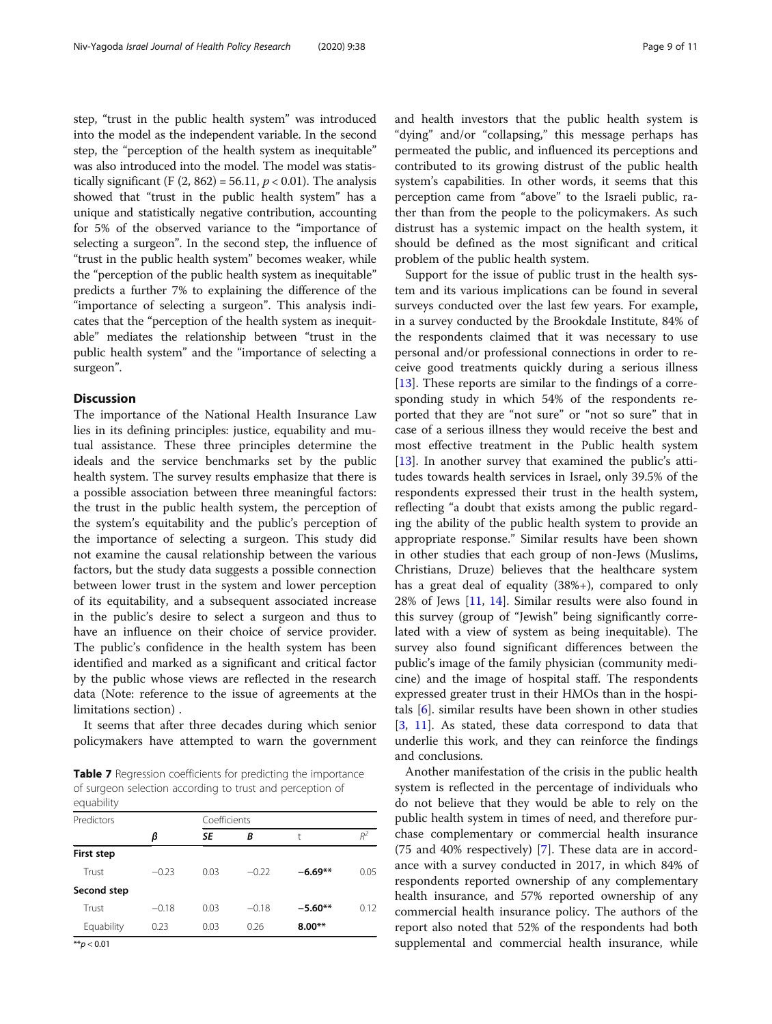<span id="page-8-0"></span>step, "trust in the public health system" was introduced into the model as the independent variable. In the second step, the "perception of the health system as inequitable" was also introduced into the model. The model was statistically significant (F  $(2, 862) = 56.11, p < 0.01$ ). The analysis showed that "trust in the public health system" has a unique and statistically negative contribution, accounting for 5% of the observed variance to the "importance of selecting a surgeon". In the second step, the influence of "trust in the public health system" becomes weaker, while the "perception of the public health system as inequitable" predicts a further 7% to explaining the difference of the "importance of selecting a surgeon". This analysis indicates that the "perception of the health system as inequitable" mediates the relationship between "trust in the public health system" and the "importance of selecting a surgeon".

#### **Discussion**

The importance of the National Health Insurance Law lies in its defining principles: justice, equability and mutual assistance. These three principles determine the ideals and the service benchmarks set by the public health system. The survey results emphasize that there is a possible association between three meaningful factors: the trust in the public health system, the perception of the system's equitability and the public's perception of the importance of selecting a surgeon. This study did not examine the causal relationship between the various factors, but the study data suggests a possible connection between lower trust in the system and lower perception of its equitability, and a subsequent associated increase in the public's desire to select a surgeon and thus to have an influence on their choice of service provider. The public's confidence in the health system has been identified and marked as a significant and critical factor by the public whose views are reflected in the research data (Note: reference to the issue of agreements at the limitations section) .

It seems that after three decades during which senior policymakers have attempted to warn the government

**Table 7** Regression coefficients for predicting the importance of surgeon selection according to trust and perception of equability

| Predictors    |         | Coefficients |         |           |       |
|---------------|---------|--------------|---------|-----------|-------|
|               | β       | SE           | В       | t         | $R^2$ |
| First step    |         |              |         |           |       |
| Trust         | $-0.23$ | 0.03         | $-0.22$ | $-6.69**$ | 0.05  |
| Second step   |         |              |         |           |       |
| Trust         | $-0.18$ | 0.03         | $-0.18$ | $-5.60**$ | 0.12  |
| Equability    | 0.23    | 0.03         | 0.26    | $8.00**$  |       |
| $***n > 0.01$ |         |              |         |           |       |

\**p* < 0.01

and health investors that the public health system is "dying" and/or "collapsing," this message perhaps has permeated the public, and influenced its perceptions and contributed to its growing distrust of the public health system's capabilities. In other words, it seems that this perception came from "above" to the Israeli public, rather than from the people to the policymakers. As such distrust has a systemic impact on the health system, it should be defined as the most significant and critical problem of the public health system.

Support for the issue of public trust in the health system and its various implications can be found in several surveys conducted over the last few years. For example, in a survey conducted by the Brookdale Institute, 84% of the respondents claimed that it was necessary to use personal and/or professional connections in order to receive good treatments quickly during a serious illness [[13\]](#page-10-0). These reports are similar to the findings of a corresponding study in which 54% of the respondents reported that they are "not sure" or "not so sure" that in case of a serious illness they would receive the best and most effective treatment in the Public health system [[13\]](#page-10-0). In another survey that examined the public's attitudes towards health services in Israel, only 39.5% of the respondents expressed their trust in the health system, reflecting "a doubt that exists among the public regarding the ability of the public health system to provide an appropriate response." Similar results have been shown in other studies that each group of non-Jews (Muslims, Christians, Druze) believes that the healthcare system has a great deal of equality (38%+), compared to only 28% of Jews [\[11,](#page-10-0) [14\]](#page-10-0). Similar results were also found in this survey (group of "Jewish" being significantly correlated with a view of system as being inequitable). The survey also found significant differences between the public's image of the family physician (community medicine) and the image of hospital staff. The respondents expressed greater trust in their HMOs than in the hospitals [\[6](#page-10-0)]. similar results have been shown in other studies [[3,](#page-10-0) [11\]](#page-10-0). As stated, these data correspond to data that underlie this work, and they can reinforce the findings and conclusions.

Another manifestation of the crisis in the public health system is reflected in the percentage of individuals who do not believe that they would be able to rely on the public health system in times of need, and therefore purchase complementary or commercial health insurance (75 and 40% respectively) [[7](#page-10-0)]. These data are in accordance with a survey conducted in 2017, in which 84% of respondents reported ownership of any complementary health insurance, and 57% reported ownership of any commercial health insurance policy. The authors of the report also noted that 52% of the respondents had both supplemental and commercial health insurance, while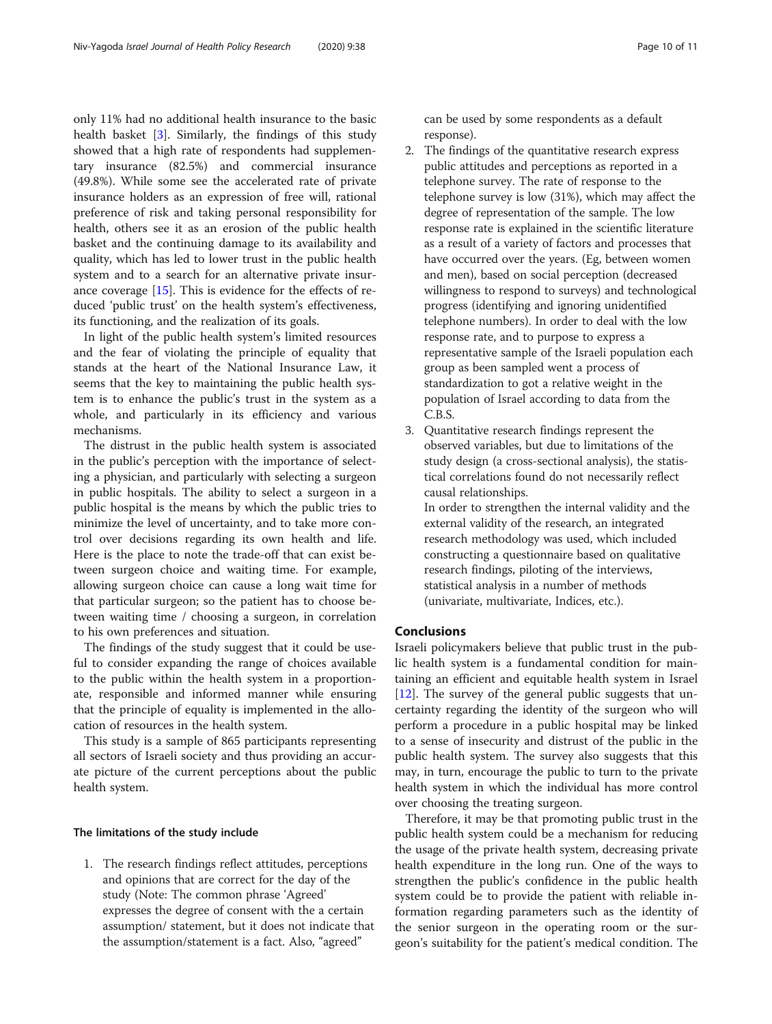only 11% had no additional health insurance to the basic health basket [\[3](#page-10-0)]. Similarly, the findings of this study showed that a high rate of respondents had supplementary insurance (82.5%) and commercial insurance (49.8%). While some see the accelerated rate of private insurance holders as an expression of free will, rational preference of risk and taking personal responsibility for health, others see it as an erosion of the public health basket and the continuing damage to its availability and quality, which has led to lower trust in the public health system and to a search for an alternative private insurance coverage [\[15](#page-10-0)]. This is evidence for the effects of reduced 'public trust' on the health system's effectiveness, its functioning, and the realization of its goals.

In light of the public health system's limited resources and the fear of violating the principle of equality that stands at the heart of the National Insurance Law, it seems that the key to maintaining the public health system is to enhance the public's trust in the system as a whole, and particularly in its efficiency and various mechanisms.

The distrust in the public health system is associated in the public's perception with the importance of selecting a physician, and particularly with selecting a surgeon in public hospitals. The ability to select a surgeon in a public hospital is the means by which the public tries to minimize the level of uncertainty, and to take more control over decisions regarding its own health and life. Here is the place to note the trade-off that can exist between surgeon choice and waiting time. For example, allowing surgeon choice can cause a long wait time for that particular surgeon; so the patient has to choose between waiting time / choosing a surgeon, in correlation to his own preferences and situation.

The findings of the study suggest that it could be useful to consider expanding the range of choices available to the public within the health system in a proportionate, responsible and informed manner while ensuring that the principle of equality is implemented in the allocation of resources in the health system.

This study is a sample of 865 participants representing all sectors of Israeli society and thus providing an accurate picture of the current perceptions about the public health system.

# The limitations of the study include

1. The research findings reflect attitudes, perceptions and opinions that are correct for the day of the study (Note: The common phrase 'Agreed' expresses the degree of consent with the a certain assumption/ statement, but it does not indicate that the assumption/statement is a fact. Also, "agreed"

can be used by some respondents as a default response).

- 2. The findings of the quantitative research express public attitudes and perceptions as reported in a telephone survey. The rate of response to the telephone survey is low (31%), which may affect the degree of representation of the sample. The low response rate is explained in the scientific literature as a result of a variety of factors and processes that have occurred over the years. (Eg, between women and men), based on social perception (decreased willingness to respond to surveys) and technological progress (identifying and ignoring unidentified telephone numbers). In order to deal with the low response rate, and to purpose to express a representative sample of the Israeli population each group as been sampled went a process of standardization to got a relative weight in the population of Israel according to data from the C.B.S.
- 3. Quantitative research findings represent the observed variables, but due to limitations of the study design (a cross-sectional analysis), the statistical correlations found do not necessarily reflect causal relationships.

In order to strengthen the internal validity and the external validity of the research, an integrated research methodology was used, which included constructing a questionnaire based on qualitative research findings, piloting of the interviews, statistical analysis in a number of methods (univariate, multivariate, Indices, etc.).

# Conclusions

Israeli policymakers believe that public trust in the public health system is a fundamental condition for maintaining an efficient and equitable health system in Israel [[12\]](#page-10-0). The survey of the general public suggests that uncertainty regarding the identity of the surgeon who will perform a procedure in a public hospital may be linked to a sense of insecurity and distrust of the public in the public health system. The survey also suggests that this may, in turn, encourage the public to turn to the private health system in which the individual has more control over choosing the treating surgeon.

Therefore, it may be that promoting public trust in the public health system could be a mechanism for reducing the usage of the private health system, decreasing private health expenditure in the long run. One of the ways to strengthen the public's confidence in the public health system could be to provide the patient with reliable information regarding parameters such as the identity of the senior surgeon in the operating room or the surgeon's suitability for the patient's medical condition. The